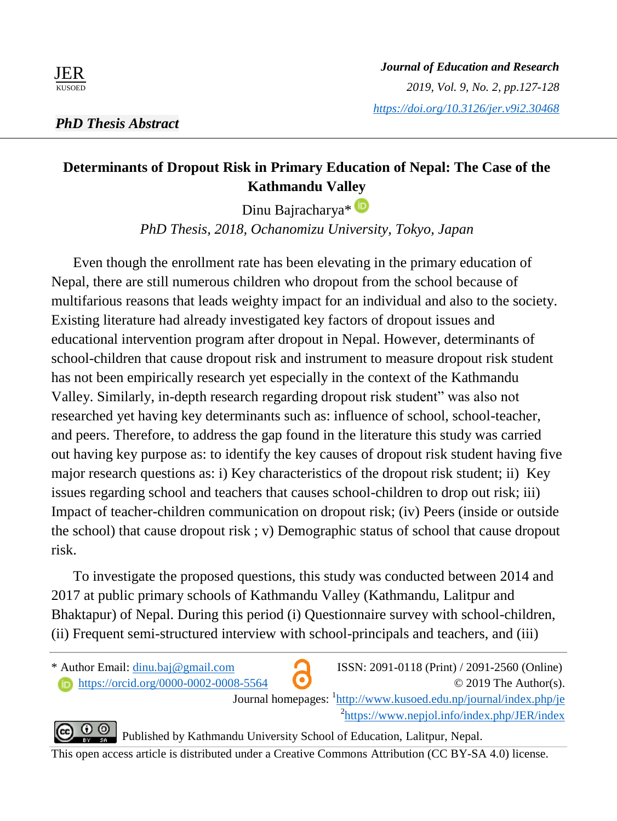

## **Determinants of Dropout Risk in Primary Education of Nepal: The Case of the Kathmandu Valley**

Dinu Bajracharya\*<sup>D</sup>

*PhD Thesis, 2018, Ochanomizu University, Tokyo, Japan*

Even though the enrollment rate has been elevating in the primary education of Nepal, there are still numerous children who dropout from the school because of multifarious reasons that leads weighty impact for an individual and also to the society. Existing literature had already investigated key factors of dropout issues and educational intervention program after dropout in Nepal. However, determinants of school-children that cause dropout risk and instrument to measure dropout risk student has not been empirically research yet especially in the context of the Kathmandu Valley. Similarly, in-depth research regarding dropout risk student" was also not researched yet having key determinants such as: influence of school, school-teacher, and peers. Therefore, to address the gap found in the literature this study was carried out having key purpose as: to identify the key causes of dropout risk student having five major research questions as: i) Key characteristics of the dropout risk student; ii) Key issues regarding school and teachers that causes school-children to drop out risk; iii) Impact of teacher-children communication on dropout risk; (iv) Peers (inside or outside the school) that cause dropout risk ; v) Demographic status of school that cause dropout risk.

To investigate the proposed questions, this study was conducted between 2014 and 2017 at public primary schools of Kathmandu Valley (Kathmandu, Lalitpur and Bhaktapur) of Nepal. During this period (i) Questionnaire survey with school-children, (ii) Frequent semi-structured interview with school-principals and teachers, and (iii)



\* Author Email:  $\underline{\text{dinu.baj@gmail.com}}$  ISSN: 2091-0118 (Print) / 2091-2560 (Online) https://orcid.org/0000-0002-0008-5564 © 2019 The Author(s).

Journal homepages:  $\frac{1 \text{http://www.kusoed.edu,np/journal/index.php/j}}{$ <sup>2</sup>https://www.nepjol.info/index.php/JER/index

**C** $\bullet$  Published by Kathmandu University School of Education, Lalitpur, Nepal.

This open access article is distributed under a Creative Commons Attribution (CC BY-SA 4.0) license.